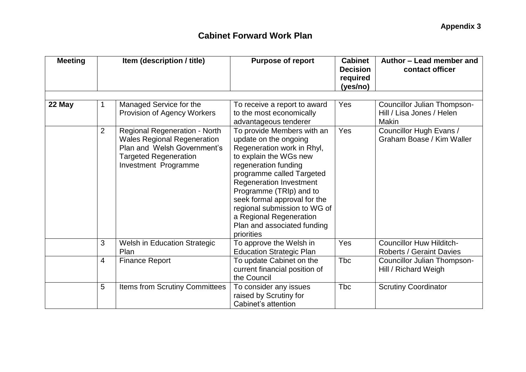| <b>Meeting</b> | Item (description / title) |                                                                                                                                                                   | <b>Purpose of report</b>                                                                                                                                                                                                                                                                                                                                                                       | <b>Cabinet</b><br><b>Decision</b><br>required<br>(yes/no) | Author – Lead member and<br>contact officer                          |  |
|----------------|----------------------------|-------------------------------------------------------------------------------------------------------------------------------------------------------------------|------------------------------------------------------------------------------------------------------------------------------------------------------------------------------------------------------------------------------------------------------------------------------------------------------------------------------------------------------------------------------------------------|-----------------------------------------------------------|----------------------------------------------------------------------|--|
| 22 May         | $\mathbf 1$                | Managed Service for the<br>Provision of Agency Workers                                                                                                            | To receive a report to award<br>to the most economically                                                                                                                                                                                                                                                                                                                                       | Yes                                                       | Councillor Julian Thompson-<br>Hill / Lisa Jones / Helen             |  |
|                | $\overline{2}$             | <b>Regional Regeneration - North</b><br><b>Wales Regional Regeneration</b><br>Plan and Welsh Government's<br><b>Targeted Regeneration</b><br>Investment Programme | advantageous tenderer<br>To provide Members with an<br>update on the ongoing<br>Regeneration work in Rhyl,<br>to explain the WGs new<br>regeneration funding<br>programme called Targeted<br><b>Regeneration Investment</b><br>Programme (TRIp) and to<br>seek formal approval for the<br>regional submission to WG of<br>a Regional Regeneration<br>Plan and associated funding<br>priorities | Yes                                                       | <b>Makin</b><br>Councillor Hugh Evans /<br>Graham Boase / Kim Waller |  |
|                | 3                          | Welsh in Education Strategic<br>Plan                                                                                                                              | To approve the Welsh in<br><b>Education Strategic Plan</b>                                                                                                                                                                                                                                                                                                                                     | Yes                                                       | <b>Councillor Huw Hilditch-</b><br><b>Roberts / Geraint Davies</b>   |  |
|                | $\overline{4}$             | <b>Finance Report</b>                                                                                                                                             | To update Cabinet on the<br>current financial position of<br>the Council                                                                                                                                                                                                                                                                                                                       | Tbc                                                       | Councillor Julian Thompson-<br>Hill / Richard Weigh                  |  |
|                | 5                          | <b>Items from Scrutiny Committees</b>                                                                                                                             | To consider any issues<br>raised by Scrutiny for<br>Cabinet's attention                                                                                                                                                                                                                                                                                                                        | <b>T</b> bc                                               | <b>Scrutiny Coordinator</b>                                          |  |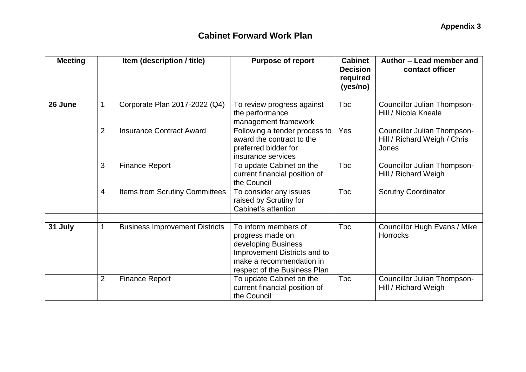| <b>Meeting</b> | Item (description / title) |                                       | <b>Purpose of report</b>                                                                                                                                    | <b>Cabinet</b><br><b>Decision</b><br>required<br>(yes/no) | Author – Lead member and<br>contact officer                          |  |
|----------------|----------------------------|---------------------------------------|-------------------------------------------------------------------------------------------------------------------------------------------------------------|-----------------------------------------------------------|----------------------------------------------------------------------|--|
| 26 June        | 1                          | Corporate Plan 2017-2022 (Q4)         | To review progress against<br>the performance<br>management framework                                                                                       | <b>T</b> bc                                               | <b>Councillor Julian Thompson-</b><br>Hill / Nicola Kneale           |  |
|                | $\overline{2}$             | <b>Insurance Contract Award</b>       | Following a tender process to<br>award the contract to the<br>preferred bidder for<br>insurance services                                                    | Yes                                                       | Councillor Julian Thompson-<br>Hill / Richard Weigh / Chris<br>Jones |  |
|                | 3                          | <b>Finance Report</b>                 | To update Cabinet on the<br>current financial position of<br>the Council                                                                                    | <b>Tbc</b>                                                | <b>Councillor Julian Thompson-</b><br>Hill / Richard Weigh           |  |
|                | $\overline{4}$             | <b>Items from Scrutiny Committees</b> | To consider any issues<br>raised by Scrutiny for<br>Cabinet's attention                                                                                     | <b>Tbc</b>                                                | <b>Scrutny Coordinator</b>                                           |  |
| 31 July        | 1                          | <b>Business Improvement Districts</b> | To inform members of<br>progress made on<br>developing Business<br>Improvement Districts and to<br>make a recommendation in<br>respect of the Business Plan | <b>Tbc</b>                                                | <b>Councillor Hugh Evans / Mike</b><br><b>Horrocks</b>               |  |
|                | $\overline{2}$             | <b>Finance Report</b>                 | To update Cabinet on the<br>current financial position of<br>the Council                                                                                    | Tbc                                                       | <b>Councillor Julian Thompson-</b><br>Hill / Richard Weigh           |  |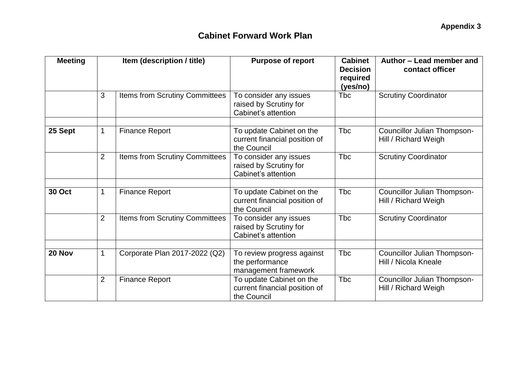| <b>Meeting</b> | Item (description / title) |                                       | <b>Purpose of report</b>                                                 | <b>Cabinet</b><br><b>Decision</b><br>required<br>(yes/no) | Author - Lead member and<br>contact officer                |  |
|----------------|----------------------------|---------------------------------------|--------------------------------------------------------------------------|-----------------------------------------------------------|------------------------------------------------------------|--|
|                | 3                          | <b>Items from Scrutiny Committees</b> | To consider any issues<br>raised by Scrutiny for<br>Cabinet's attention  | Tbc                                                       | <b>Scrutiny Coordinator</b>                                |  |
| 25 Sept        | 1                          | <b>Finance Report</b>                 | To update Cabinet on the<br>current financial position of<br>the Council | Tbc                                                       | <b>Councillor Julian Thompson-</b><br>Hill / Richard Weigh |  |
|                | $\overline{2}$             | <b>Items from Scrutiny Committees</b> | To consider any issues<br>raised by Scrutiny for<br>Cabinet's attention  | <b>T</b> bc                                               | <b>Scrutiny Coordinator</b>                                |  |
| <b>30 Oct</b>  | 1                          | <b>Finance Report</b>                 | To update Cabinet on the<br>current financial position of<br>the Council | <b>Tbc</b>                                                | Councillor Julian Thompson-<br>Hill / Richard Weigh        |  |
|                | $\overline{2}$             | <b>Items from Scrutiny Committees</b> | To consider any issues<br>raised by Scrutiny for<br>Cabinet's attention  | <b>Tbc</b>                                                | <b>Scrutiny Coordinator</b>                                |  |
| 20 Nov         | 1                          | Corporate Plan 2017-2022 (Q2)         | To review progress against<br>the performance<br>management framework    | <b>T</b> bc                                               | Councillor Julian Thompson-<br>Hill / Nicola Kneale        |  |
|                | $\overline{2}$             | <b>Finance Report</b>                 | To update Cabinet on the<br>current financial position of<br>the Council | <b>T</b> bc                                               | Councillor Julian Thompson-<br>Hill / Richard Weigh        |  |